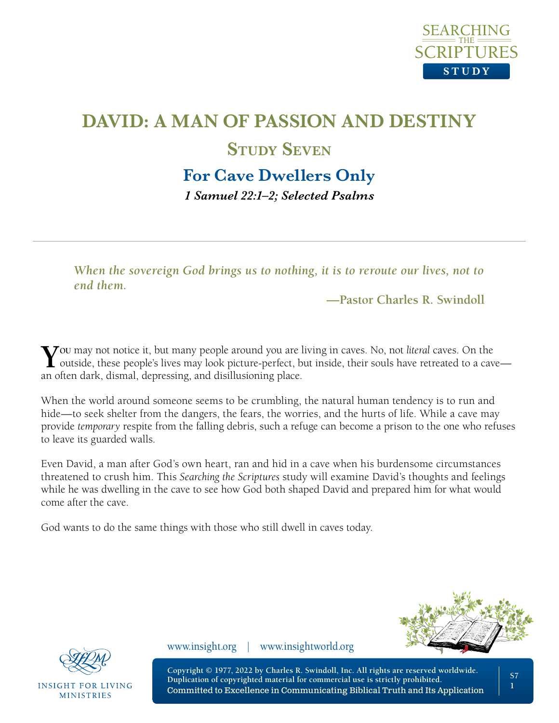

## **For Cave Dwellers Only**

*1 Samuel 22:1–2; Selected Psalms* 

*When the sovereign God brings us to nothing, it is to reroute our lives, not to end them.*

**—Pastor Charles R. Swindoll**

**Y**ou may not notice it, but many people around you are living in caves. No, not *literal* caves. On the outside, these people's lives may look picture-perfect, but inside, their souls have retreated to a cave an often dark, dismal, depressing, and disillusioning place.

When the world around someone seems to be crumbling, the natural human tendency is to run and hide—to seek shelter from the dangers, the fears, the worries, and the hurts of life. While a cave may provide *temporary* respite from the falling debris, such a refuge can become a prison to the one who refuses to leave its guarded walls.

Even David, a man after God's own heart, ran and hid in a cave when his burdensome circumstances threatened to crush him. This *Searching the Scriptures* study will examine David's thoughts and feelings while he was dwelling in the cave to see how God both shaped David and prepared him for what would come after the cave.

God wants to do the same things with those who still dwell in caves today.





**INSIGHT FOR LIVING MINISTRIES** 

www.insight.org | www.insightworld.org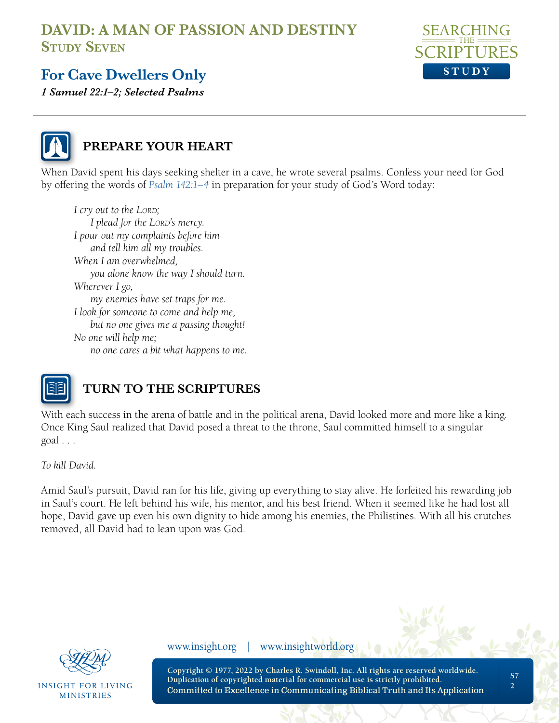

# **For Cave Dwellers Only**

*1 Samuel 22:1–2; Selected Psalms* 



#### **PREPARE YOUR HEART**

When David spent his days seeking shelter in a cave, he wrote several psalms. Confess your need for God by offering the words of *[Psalm 142:1–4](https://www.biblegateway.com/passage/?search=Psalm+142&version=NLT;NASB1995)* in preparation for your study of God's Word today:

*I cry out to the LORD*; *I* plead for the LORD's mercy. *I pour out my complaints before him and tell him all my troubles. When I am overwhelmed, you alone know the way I should turn. Wherever I go, my enemies have set traps for me. I look for someone to come and help me, but no one gives me a passing thought! No one will help me; no one cares a bit what happens to me.*



# **TURN TO THE SCRIPTURES**

With each success in the arena of battle and in the political arena, David looked more and more like a king. Once King Saul realized that David posed a threat to the throne, Saul committed himself to a singular goal . . .

*To kill David.*

Amid Saul's pursuit, David ran for his life, giving up everything to stay alive. He forfeited his rewarding job in Saul's court. He left behind his wife, his mentor, and his best friend. When it seemed like he had lost all hope, David gave up even his own dignity to hide among his enemies, the Philistines. With all his crutches removed, all David had to lean upon was God.



INSIGHT FOR LIVING **MINISTRIES** 

www.insight.org | www.insightworld.org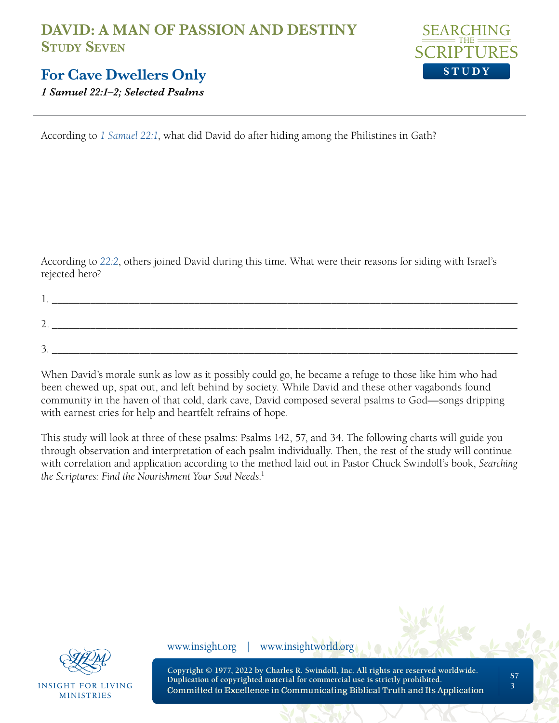

#### **For Cave Dwellers Only**

*1 Samuel 22:1–2; Selected Psalms* 

According to *[1 Samuel 22:1](https://www.biblegateway.com/passage/?search=1+Samuel+22%3A1&version=NLT;NASB1995)*, what did David do after hiding among the Philistines in Gath?

According to *[22:2](https://www.biblegateway.com/passage/?search=1+Samuel+22%3A2&version=NLT;NASB1995)*, others joined David during this time. What were their reasons for siding with Israel's rejected hero?

| <u>.</u> |  |
|----------|--|
|          |  |
|          |  |

When David's morale sunk as low as it possibly could go, he became a refuge to those like him who had been chewed up, spat out, and left behind by society. While David and these other vagabonds found community in the haven of that cold, dark cave, David composed several psalms to God—songs dripping with earnest cries for help and heartfelt refrains of hope.

This study will look at three of these psalms: Psalms 142, 57, and 34. The following charts will guide you through observation and interpretation of each psalm individually. Then, the rest of the study will continue with correlation and application according to the method laid out in Pastor Chuck Swindoll's book, *Searching the Scriptures: Find the Nourishment Your Soul Needs*. 1



**INSIGHT FOR LIVING MINISTRIES** 

www.insight.org | www.insightworld.org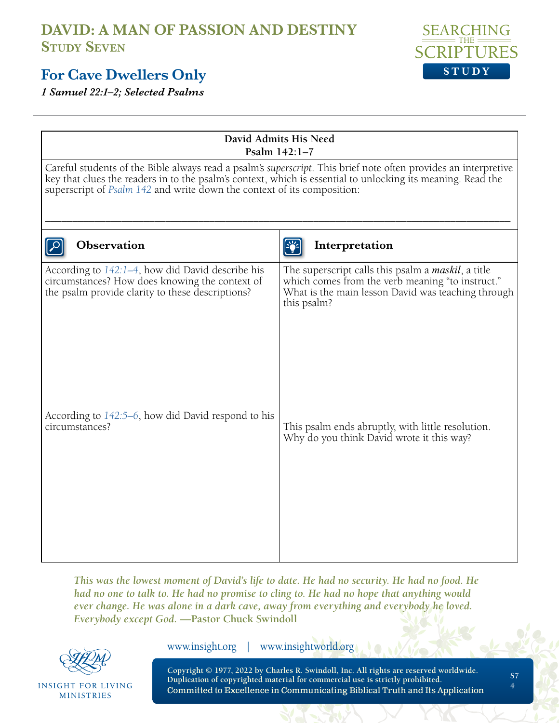#### **For Cave Dwellers Only**

*1 Samuel 22:1–2; Selected Psalms* 

| David Admits His Need<br>Psalm 142:1-7                                                                                                                                                                                                                                                                    |                                                                                                                                                                                     |  |  |  |
|-----------------------------------------------------------------------------------------------------------------------------------------------------------------------------------------------------------------------------------------------------------------------------------------------------------|-------------------------------------------------------------------------------------------------------------------------------------------------------------------------------------|--|--|--|
| Careful students of the Bible always read a psalm's superscript. This brief note often provides an interpretive<br>key that clues the readers in to the psalm's context, which is essential to unlocking its meaning. Read the<br>superscript of Psalm 142 and write down the context of its composition: |                                                                                                                                                                                     |  |  |  |
| <b>Observation</b>                                                                                                                                                                                                                                                                                        | Interpretation                                                                                                                                                                      |  |  |  |
| According to 142:1-4, how did David describe his<br>circumstances? How does knowing the context of<br>the psalm provide clarity to these descriptions?                                                                                                                                                    | The superscript calls this psalm a <i>maskil</i> , a title<br>which comes from the verb meaning "to instruct."<br>What is the main lesson David was teaching through<br>this psalm? |  |  |  |
| According to 142:5–6, how did David respond to his<br>circumstances?                                                                                                                                                                                                                                      | This psalm ends abruptly, with little resolution.<br>Why do you think David wrote it this way?                                                                                      |  |  |  |

*This was the lowest moment of David's life to date. He had no security. He had no food. He had no one to talk to. He had no promise to cling to. He had no hope that anything would ever change. He was alone in a dark cave, away from everything and everybody he loved. Everybody except God.* **—Pastor Chuck Swindoll**



**INSIGHT FOR LIVING** MINISTRIES

www.insight.org | www.insightworld.org

**Copyright © 1977, 2022 by Charles R. Swindoll, Inc. All rights are reserved worldwide. Duplication of copyrighted material for commercial use is strictly prohibited.** Committed to Excellence in Communicating Biblical Truth and Its Application



**S7 4**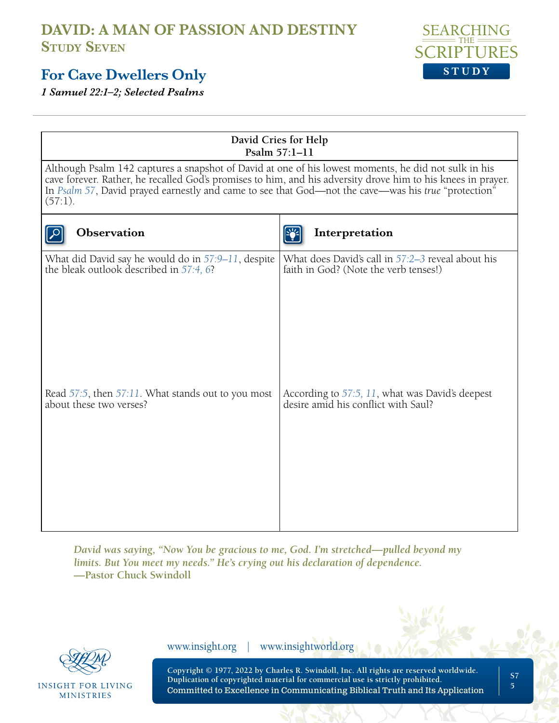

#### **For Cave Dwellers Only**

*1 Samuel 22:1–2; Selected Psalms* 

| David Cries for Help<br>Psalm 57:1-11                                                                                                                                                                                                                                                                                                     |                                                                                            |  |  |  |
|-------------------------------------------------------------------------------------------------------------------------------------------------------------------------------------------------------------------------------------------------------------------------------------------------------------------------------------------|--------------------------------------------------------------------------------------------|--|--|--|
| Although Psalm 142 captures a snapshot of David at one of his lowest moments, he did not sulk in his<br>cave forever. Rather, he recalled God's promises to him, and his adversity drove him to his knees in prayer.<br>In Psalm 57, David prayed earnestly and came to see that God—not the cave—was his true "protection"<br>$(57:1)$ . |                                                                                            |  |  |  |
| Observation                                                                                                                                                                                                                                                                                                                               | Interpretation                                                                             |  |  |  |
| What did David say he would do in 57:9-11, despite<br>the bleak outlook described in 57:4, 6?                                                                                                                                                                                                                                             | What does David's call in 57:2-3 reveal about his<br>faith in God? (Note the verb tenses!) |  |  |  |
| Read $57:5$ , then $57:11$ . What stands out to you most<br>about these two verses?                                                                                                                                                                                                                                                       | According to 57:5, 11, what was David's deepest<br>desire amid his conflict with Saul?     |  |  |  |
|                                                                                                                                                                                                                                                                                                                                           |                                                                                            |  |  |  |

*David was saying, "Now You be gracious to me, God. I'm stretched—pulled beyond my limits. But You meet my needs." He's crying out his declaration of dependence.*  **—Pastor Chuck Swindoll**

**INSIGHT FOR LIVING MINISTRIES** 

www.insight.org | www.insightworld.org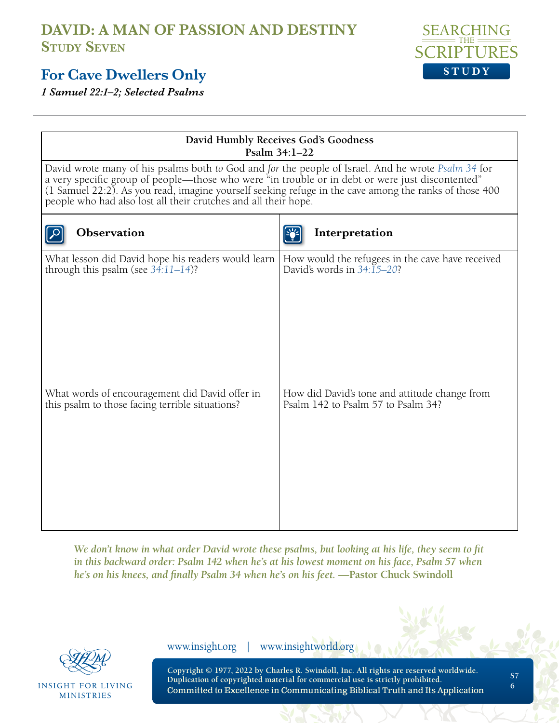#### **For Cave Dwellers Only**

*1 Samuel 22:1–2; Selected Psalms* 

| <b>SEARCHING</b><br>__________ THE ________ |  |  |
|---------------------------------------------|--|--|
| <b>SCRIPTURES</b>                           |  |  |
| STUDY                                       |  |  |

| David Humbly Receives God's Goodness<br>Psalm 34:1-22                                                                                                                                                                                                                                                                                                                               |                                                                                              |  |  |  |
|-------------------------------------------------------------------------------------------------------------------------------------------------------------------------------------------------------------------------------------------------------------------------------------------------------------------------------------------------------------------------------------|----------------------------------------------------------------------------------------------|--|--|--|
| David wrote many of his psalms both to God and for the people of Israel. And he wrote Psalm 34 for<br>a very specific group of people—those who were "in trouble or in debt or were just discontented"<br>(1 Samuel 22:2). As you read, imagine yourself seeking refuge in the cave among the ranks of those 400<br>people who had also lost all their crutches and all their hope. |                                                                                              |  |  |  |
| <b>Observation</b>                                                                                                                                                                                                                                                                                                                                                                  | Interpretation                                                                               |  |  |  |
| What lesson did David hope his readers would learn<br>through this psalm (see $34:11-14$ )?                                                                                                                                                                                                                                                                                         | How would the refugees in the cave have received<br>David's words in $34:\overline{15}-20$ ? |  |  |  |
| What words of encouragement did David offer in<br>this psalm to those facing terrible situations?                                                                                                                                                                                                                                                                                   | How did David's tone and attitude change from<br>Psalm 142 to Psalm 57 to Psalm 34?          |  |  |  |

*We don't know in what order David wrote these psalms, but looking at his life, they seem to fit*  in this backward order: Psalm 142 when he's at his lowest moment on his face, Psalm 57 when *he's on his knees, and finally Psalm 34 when he's on his feet.* **—Pastor Chuck Swindoll**

**INSIGHT FOR LIVING MINISTRIES** 

www.insight.org | www.insightworld.org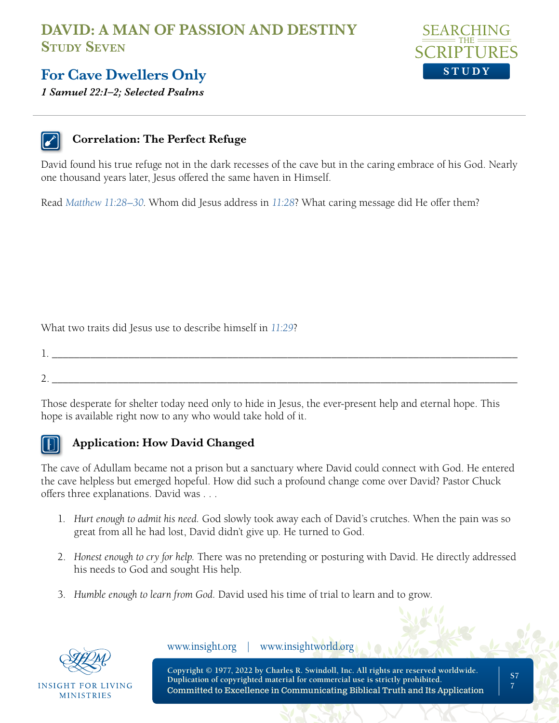

#### **For Cave Dwellers Only**

*1 Samuel 22:1–2; Selected Psalms* 

#### **Correlation: The Perfect Refuge**

David found his true refuge not in the dark recesses of the cave but in the caring embrace of his God. Nearly one thousand years later, Jesus offered the same haven in Himself.

Read *[Matthew 11:28–30](https://www.biblegateway.com/passage/?search=Matthew+11%3A28%E2%80%9330&version=NLT;NASB1995)*. Whom did Jesus address in *[11:28](https://www.biblegateway.com/passage/?search=Matthew+11%3A28&version=NLT;NASB1995)*? What caring message did He offer them?

What two traits did Jesus use to describe himself in *[11:29](https://www.biblegateway.com/passage/?search=Matthew+11%3A29&version=NLT;NASB1995)*?

1. \_\_\_\_\_\_\_\_\_\_\_\_\_\_\_\_\_\_\_\_\_\_\_\_\_\_\_\_\_\_\_\_\_\_\_\_\_\_\_\_\_\_\_\_\_\_\_\_\_\_\_\_\_\_\_\_\_\_\_\_\_\_\_\_\_\_\_\_\_\_\_\_\_\_\_\_\_\_\_\_\_\_\_\_\_ 2. \_\_\_\_\_\_\_\_\_\_\_\_\_\_\_\_\_\_\_\_\_\_\_\_\_\_\_\_\_\_\_\_\_\_\_\_\_\_\_\_\_\_\_\_\_\_\_\_\_\_\_\_\_\_\_\_\_\_\_\_\_\_\_\_\_\_\_\_\_\_\_\_\_\_\_\_\_\_\_\_\_\_\_\_\_

Those desperate for shelter today need only to hide in Jesus, the ever-present help and eternal hope. This hope is available right now to any who would take hold of it.

#### **Application: How David Changed**

The cave of Adullam became not a prison but a sanctuary where David could connect with God. He entered the cave helpless but emerged hopeful. How did such a profound change come over David? Pastor Chuck offers three explanations. David was . . .

- 1. *Hurt enough to admit his need.* God slowly took away each of David's crutches. When the pain was so great from all he had lost, David didn't give up. He turned to God.
- 2. *Honest enough to cry for help.* There was no pretending or posturing with David. He directly addressed his needs to God and sought His help.
- 3. *Humble enough to learn from God.* David used his time of trial to learn and to grow.



INSIGHT FOR LIVING **MINISTRIES** 

www.insight.org | www.insightworld.org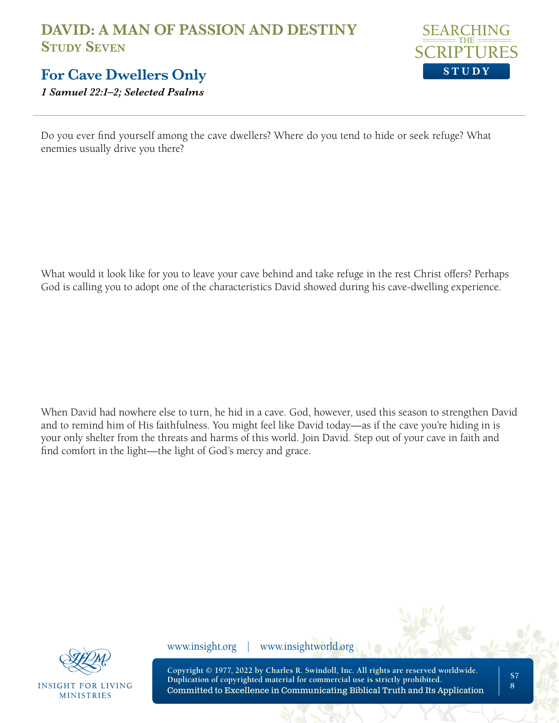

#### **For Cave Dwellers Only**

*1 Samuel 22:1–2; Selected Psalms* 

Do you ever find yourself among the cave dwellers? Where do you tend to hide or seek refuge? What enemies usually drive you there?

What would it look like for you to leave your cave behind and take refuge in the rest Christ offers? Perhaps God is calling you to adopt one of the characteristics David showed during his cave-dwelling experience.

When David had nowhere else to turn, he hid in a cave. God, however, used this season to strengthen David and to remind him of His faithfulness. You might feel like David today—as if the cave you're hiding in is your only shelter from the threats and harms of this world. Join David. Step out of your cave in faith and find comfort in the light—the light of God's mercy and grace.



**INSIGHT FOR LIVING MINISTRIES** 

www.insight.org | www.insightworld.org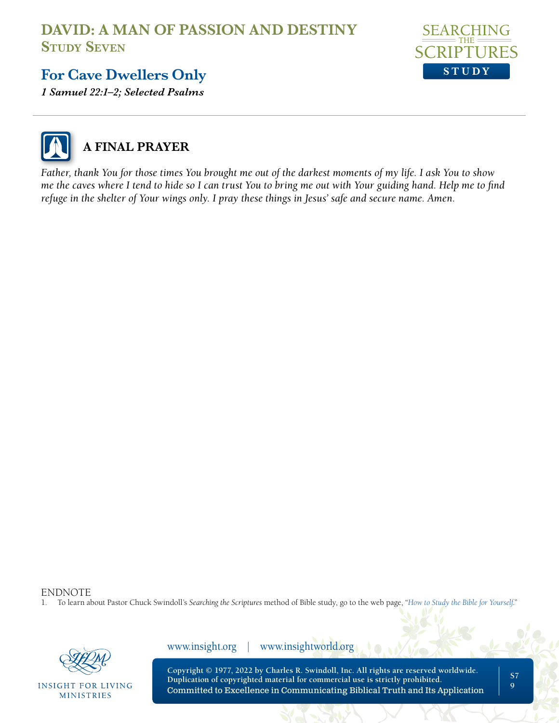

## **For Cave Dwellers Only**

*1 Samuel 22:1–2; Selected Psalms* 



## **A FINAL PRAYER**

*Father, thank You for those times You brought me out of the darkest moments of my life. I ask You to show me the caves where I tend to hide so I can trust You to bring me out with Your guiding hand. Help me to find refuge in the shelter of Your wings only. I pray these things in Jesus' safe and secure name. Amen.*

ENDNOTE<br>1 To learn al

1. To learn about Pastor Chuck Swindoll's *Searching the Scriptures* method of Bible study, go to the web page, "*[How to Study the Bible for Yourself](https://sts.insight.org/)*."



**INSIGHT FOR LIVING MINISTRIES** 

www.insight.org | www.insightworld.org